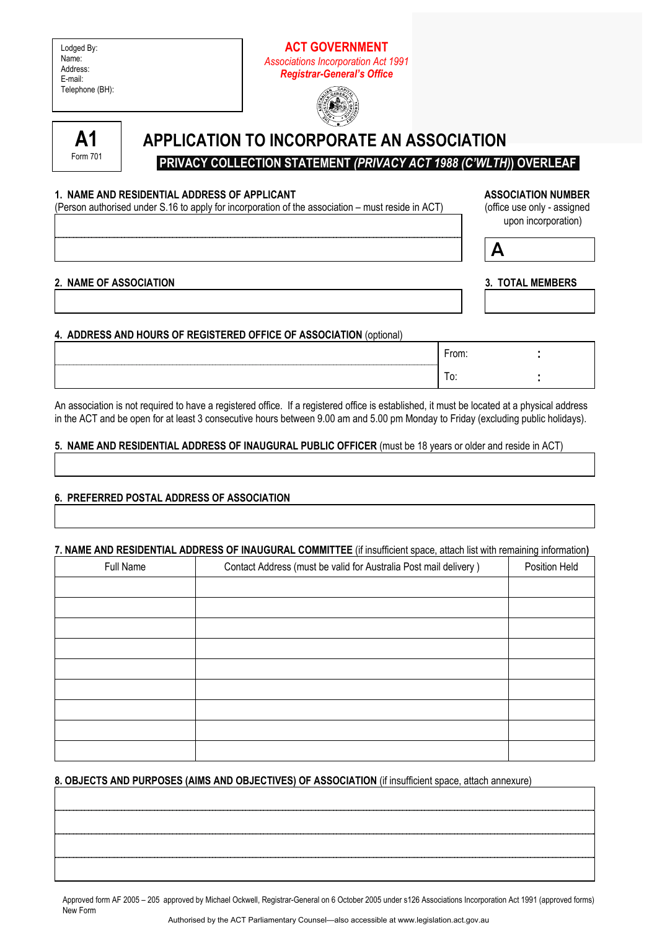| Lodged By:      |
|-----------------|
| Name:           |
| Address:        |
| E-mail:         |
| Telephone (BH): |

# **ACT GOVERNMENT**  *Associations Incorporation Act 1991 Registrar-General's Office*





# **APPLICATION TO INCORPORATE AN ASSOCIATION**

 **PRIVACY COLLECTION STATEMENT** *(PRIVACY ACT 1988 (C'WLTH)***) OVERLEAF** 

## 1. NAME AND RESIDENTIAL ADDRESS OF APPLICANT **ASSOCIATION IN ASSOCIATION NUMBER**

(Person authorised under S.16 to apply for incorporation of the association – must reside in ACT) (office use only - assigned

upon incorporation)  $\overline{A}$ 

| 2 NAME OF ASSOCIATION |  |  |  |
|-----------------------|--|--|--|

**3. TOTAL MEMBERS** 

# **4. ADDRESS AND HOURS OF REGISTERED OFFICE OF ASSOCIATION** (optional)

| <b>EAR</b><br>UIII. |  |
|---------------------|--|
| ט.<br>$\sim$        |  |

An association is not required to have a registered office. If a registered office is established, it must be located at a physical address in the ACT and be open for at least 3 consecutive hours between 9.00 am and 5.00 pm Monday to Friday (excluding public holidays).

## **5. NAME AND RESIDENTIAL ADDRESS OF INAUGURAL PUBLIC OFFICER** (must be 18 years or older and reside in ACT)

## **6. PREFERRED POSTAL ADDRESS OF ASSOCIATION**

## **7. NAME AND RESIDENTIAL ADDRESS OF INAUGURAL COMMITTEE** (if insufficient space, attach list with remaining information**)**

| Full Name | Contact Address (must be valid for Australia Post mail delivery) | Position Held |
|-----------|------------------------------------------------------------------|---------------|
|           |                                                                  |               |
|           |                                                                  |               |
|           |                                                                  |               |
|           |                                                                  |               |
|           |                                                                  |               |
|           |                                                                  |               |
|           |                                                                  |               |
|           |                                                                  |               |
|           |                                                                  |               |

## **8. OBJECTS AND PURPOSES (AIMS AND OBJECTIVES) OF ASSOCIATION** (if insufficient space, attach annexure)

Approved form AF 2005 – 205 approved by Michael Ockwell, Registrar-General on 6 October 2005 under s126 Associations Incorporation Act 1991 (approved forms) New Form Authorised by the ACT Parliamentary Counsel—also accessible at www.legislation.act.gov.au